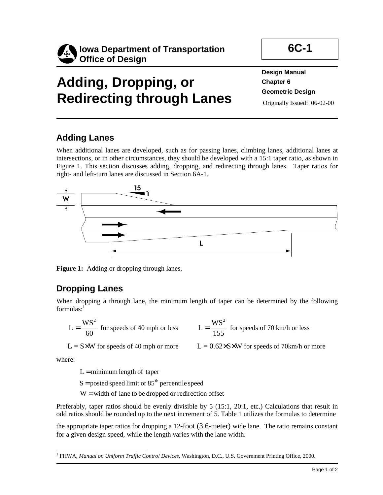

# **Adding, Dropping, or Redirecting through Lanes**

**Design Manual Chapter 6 Geometric Design**  Originally Issued: 06-02-00

## **Adding Lanes**

When additional lanes are developed, such as for passing lanes, climbing lanes, additional lanes at intersections, or in other circumstances, they should be developed with a 15:1 taper ratio, as shown in Figure 1. This section discusses adding, dropping, and redirecting through lanes. Taper ratios for right- and left-turn lanes are discussed in Section 6A-1.



Figure 1: Adding or dropping through lanes.

## **Dropping Lanes**

When dropping a through lane, the minimum length of taper can be determined by the following formulas: $<sup>1</sup>$ </sup>

$$
L = \frac{WS^2}{60}
$$
 for speeds of 40 mph or less 
$$
L = \frac{WS^2}{155}
$$
 for speeds of 70 km/h or less

 $L = S \times W$  for speeds of 40 mph or more  $L = 0.62 \times S \times W$  for speeds of 70km/h or more

where:

 $L =$  minimum length of taper

 $S =$  posted speed limit or 85<sup>th</sup> percentile speed

 $W =$  width of lane to be dropped or redirection offset

Preferably, taper ratios should be evenly divisible by 5 (15:1, 20:1, etc.) Calculations that result in odd ratios should be rounded up to the next increment of 5. Table 1 utilizes the formulas to determine

the appropriate taper ratios for dropping a 12-foot (3.6-meter) wide lane. The ratio remains constant for a given design speed, while the length varies with the lane width.

 $\overline{a}$ 1 FHWA, *Manual on Uniform Traffic Control Devices,* Washington, D.C., U.S. Government Printing Office, 2000.